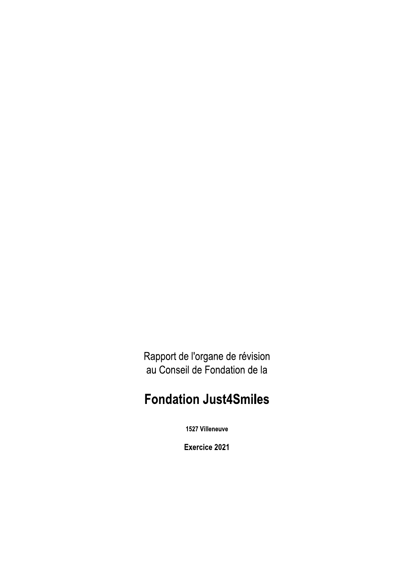Rapport de l'organe de révision au Conseil de Fondation de la

# **Fondation Just4Smiles**

1527 Villeneuve

Exercice 2021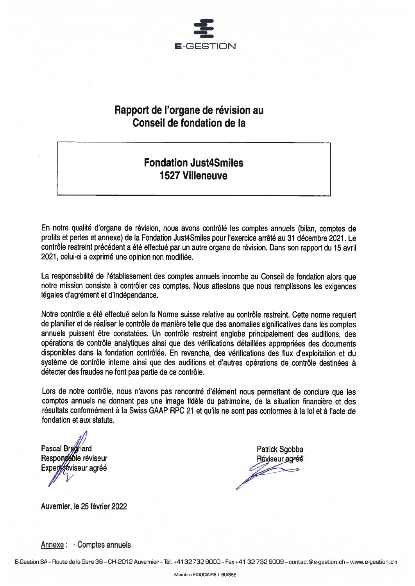

# Rapport de l'organe de révision au Conseil de fondation de la

# **Fondation Just4Smiles 1527 Villeneuve**

En notre qualité d'organe de révision, nous avons contrôlé les comptes annuels (bilan, comptes de profits et pertes et annexe) de la Fondation Just4Smiles pour l'exercice arrêté au 31 décembre 2021. Le contrôle restreint précédent a été effectué par un autre organe de révision. Dans son rapport du 15 avril 2021, celui-ci a exprimé une opinion non modifiée.

La responsabilité de l'établissement des comptes annuels incombe au Conseil de fondation alors que notre mission consiste à contrôler ces comptes. Nous attestons que nous remplissons les exigences légales d'agrément et d'indépendance.

Notre contrôle a été effectué selon la Norme suisse relative au contrôle restreint. Cette norme requiert de planifier et de réaliser le contrôle de manière telle que des anomalies significatives dans les comptes annuels puissent être constatées. Un contrôle restreint englobe principalement des auditions, des opérations de contrôle analytiques ainsi que des vérifications détaillées appropriées des documents disponibles dans la fondation contrôlée. En revanche, des vérifications des flux d'exploitation et du système de contrôle interne ainsi que des auditions et d'autres opérations de contrôle destinées à détecter des fraudes ne font pas partie de ce contrôle.

Lors de notre contrôle, nous n'avons pas rencontré d'élément nous permettant de conclure que les comptes annuels ne donnent pas une image fidèle du patrimoine, de la situation financière et des résultats conformément à la Swiss GAAP RPC 21 et qu'ils ne sont pas conformes à la loi et à l'acte de fondation et aux statuts.

**Pascal Breanard** Responseble réviseur Experieviseur agréé

**Patrick Sgobba** Réviseur agréé

Auvernier, le 25 février 2022

Annexe : - Comptes annuels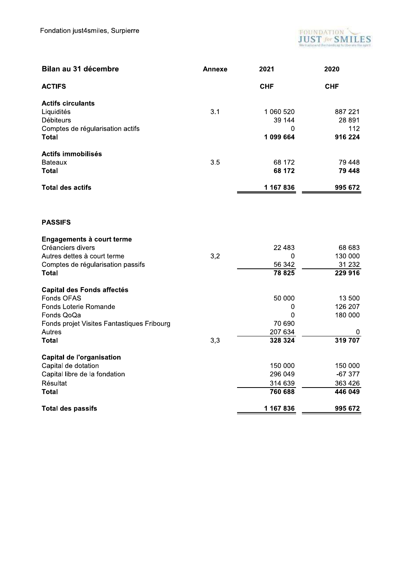

| Bilan au 31 décembre                                                                                                                                           | Annexe | 2021                                             | 2020                                         |
|----------------------------------------------------------------------------------------------------------------------------------------------------------------|--------|--------------------------------------------------|----------------------------------------------|
| <b>ACTIFS</b>                                                                                                                                                  |        | <b>CHF</b>                                       | <b>CHF</b>                                   |
| <b>Actifs circulants</b><br>Liquidités<br><b>Débiteurs</b><br>Comptes de régularisation actifs<br>Total                                                        | 3.1    | 1 060 520<br>39 144<br>0<br>1099664              | 887 221<br>28 891<br>112<br>916 224          |
| Actifs immobilisés<br><b>Bateaux</b><br><b>Total</b>                                                                                                           | 3.5    | 68 172<br>68 172                                 | 79 448<br>79 448                             |
| <b>Total des actifs</b>                                                                                                                                        |        | 1 167 836                                        | 995 672                                      |
| <b>PASSIFS</b>                                                                                                                                                 |        |                                                  |                                              |
| Engagements à court terme<br>Créanciers divers<br>Autres dettes à court terme<br>Comptes de régularisation passifs<br>Total                                    | 3,2    | 22 4 8 3<br>0<br>56 342<br>78 825                | 68 683<br>130 000<br>31 232<br>229 916       |
| <b>Capital des Fonds affectés</b><br>Fonds OFAS<br>Fonds Loterie Romande<br>Fonds QoQa<br>Fonds projet Visites Fantastiques Fribourg<br>Autres<br><b>Total</b> | 3,3    | 50 000<br>0<br>0<br>70 690<br>207 634<br>328 324 | 13 500<br>126 207<br>180 000<br>0<br>319 707 |
| <b>Capital de l'organisation</b><br>Capital de dotation<br>Capital libre de la fondation<br>Résultat<br>Total                                                  |        | 150 000<br>296 049<br>314 639<br>760 688         | 150 000<br>$-67377$<br>363 426<br>446 049    |
| <b>Total des passifs</b>                                                                                                                                       |        | 1 167 836                                        | 995 672                                      |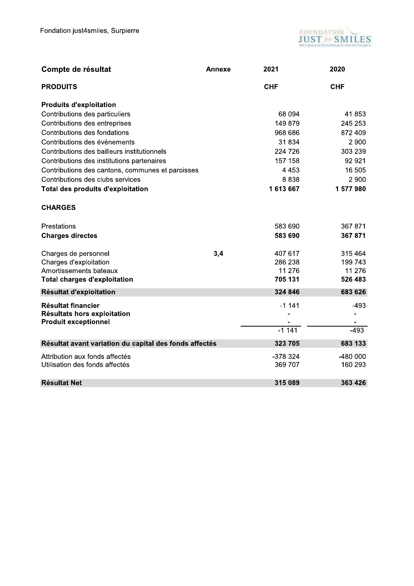

| Compte de résultat                                                                      | Annexe | 2021                      | 2020                |
|-----------------------------------------------------------------------------------------|--------|---------------------------|---------------------|
| <b>PRODUITS</b>                                                                         |        | <b>CHF</b>                | <b>CHF</b>          |
| <b>Produits d'exploitation</b>                                                          |        |                           |                     |
| Contributions des particuliers                                                          |        | 68 094                    | 41853               |
| Contributions des entreprises                                                           |        | 149879                    | 245 253             |
| Contributions des fondations                                                            |        | 968 686                   | 872 409             |
| Contributions des événements                                                            |        | 31834                     | 2 9 0 0             |
| Contributions des bailleurs institutionnels                                             |        | 224 726                   | 303 239             |
| Contributions des institutions partenaires                                              |        | 157 158                   | 92 921              |
| Contributions des cantons, communes et paroisses                                        |        | 4 4 5 3                   | 16 505              |
| Contributions des clubs services                                                        |        | 8838                      | 2 9 0 0             |
| <b>Total des produits d'exploitation</b>                                                |        | 1 613 667                 | 1577980             |
| <b>CHARGES</b>                                                                          |        |                           |                     |
| Prestations                                                                             |        | 583 690                   | 367 871             |
| <b>Charges directes</b>                                                                 |        | 583 690                   | 367 871             |
| Charges de personnel                                                                    | 3,4    | 407 617                   | 315 464             |
| Charges d'exploitation                                                                  |        | 286 238                   | 199 743             |
| Amortissements bateaux                                                                  |        | 11 276                    | 11 276              |
| <b>Total charges d'exploitation</b>                                                     |        | 705 131                   | 526 483             |
| Résultat d'exploitation                                                                 |        | 324 846                   | 683 626             |
| <b>Résultat financier</b><br>Résultats hors exploitation<br><b>Produit exceptionnel</b> |        | $-1141$<br>$\overline{a}$ | $-493$              |
|                                                                                         |        | $-1111$                   | $-493$              |
| Résultat avant variation du capital des fonds affectés                                  |        | 323 705                   | 683 133             |
| Attribution aux fonds affectés<br>Utilisation des fonds affectés                        |        | -378 324<br>369 707       | -480 000<br>160 293 |
| <b>Résultat Net</b>                                                                     |        | 315 089                   | 363 426             |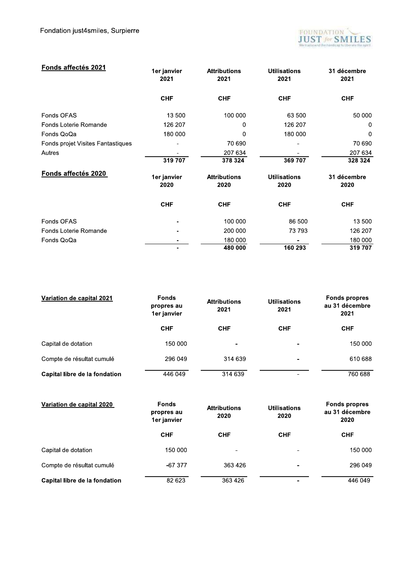

| Fonds affectés 2021               | 1er janvier<br>2021 | <b>Attributions</b><br>2021 | <b>Utilisations</b><br>2021 | 31 décembre<br>2021 |
|-----------------------------------|---------------------|-----------------------------|-----------------------------|---------------------|
|                                   | <b>CHF</b>          | <b>CHF</b>                  | <b>CHF</b>                  | <b>CHF</b>          |
| Fonds OFAS                        | 13 500              | 100 000                     | 63 500                      | 50 000              |
| Fonds Loterie Romande             | 126 207             | 0                           | 126 207                     | 0                   |
| Fonds QoQa                        | 180 000             | 0                           | 180 000                     | 0                   |
| Fonds projet Visites Fantastiques |                     | 70 690                      |                             | 70 690              |
| Autres                            |                     | 207 634                     |                             | 207 634             |
|                                   | 319 707             | 378 324                     | 369 707                     | 328 324             |
| Fonds affectés 2020               | 1er janvier<br>2020 | <b>Attributions</b><br>2020 | <b>Utilisations</b><br>2020 | 31 décembre<br>2020 |
|                                   | <b>CHF</b>          | <b>CHF</b>                  | <b>CHF</b>                  | <b>CHF</b>          |
| Fonds OFAS                        |                     | 100 000                     | 86 500                      | 13 500              |
| Fonds Loterie Romande             |                     | 200 000                     | 73793                       | 126 207             |
| Fonds QoQa                        |                     | 180 000                     |                             | 180 000             |
|                                   |                     | 480 000                     | 160 293                     | 319 707             |

| Variation de capital 2021     | <b>Fonds</b><br>propres au<br>1er janvier | <b>Attributions</b><br>2021 | <b>Utilisations</b><br>2021 | <b>Fonds propres</b><br>au 31 décembre<br>2021 |
|-------------------------------|-------------------------------------------|-----------------------------|-----------------------------|------------------------------------------------|
|                               | <b>CHF</b>                                | <b>CHF</b>                  | <b>CHF</b>                  | <b>CHF</b>                                     |
| Capital de dotation           | 150 000                                   | -                           | $\overline{\phantom{0}}$    | 150 000                                        |
| Compte de résultat cumulé     | 296 049                                   | 314 639                     |                             | 610 688                                        |
| Capital libre de la fondation | 446 049                                   | 314 639                     |                             | 760 688                                        |

| Variation de capital 2020     | <b>Fonds</b><br>propres au<br>1er janvier | <b>Attributions</b><br>2020 | <b>Utilisations</b><br>2020 | <b>Fonds propres</b><br>au 31 décembre<br>2020 |
|-------------------------------|-------------------------------------------|-----------------------------|-----------------------------|------------------------------------------------|
|                               | <b>CHF</b>                                | <b>CHF</b>                  | <b>CHF</b>                  | <b>CHF</b>                                     |
| Capital de dotation           | 150 000                                   |                             |                             | 150 000                                        |
| Compte de résultat cumulé     | $-67.377$                                 | 363 426                     |                             | 296 049                                        |
| Capital libre de la fondation | 82 623                                    | 363 426                     |                             | 446 049                                        |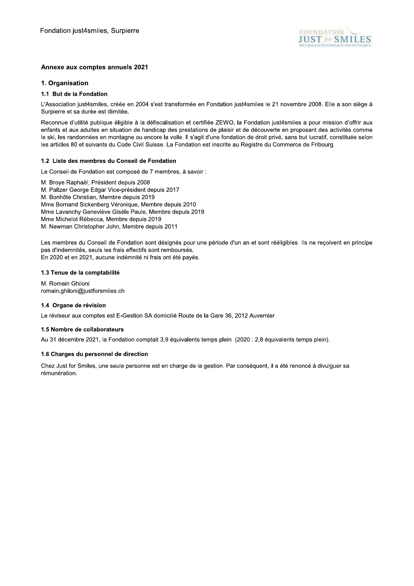

# Annexe aux comptes annuels 2021

### 1. Organisation

# 1.1 But de la Fondation

L'Association just4smiles, créée en 2004 s'est transformée en Fondation just4smiles le 21 novembre 2008. Elle a son siège à Surpierre et sa durée est illimitée.

Reconnue d'utilité publique éligible à la défiscalisation et certifiée ZEWO, la Fondation just4smiles a pour mission d'offrir aux enfants et aux adultes en situation de handicap des prestations de plaisir et de découverte en proposant des activités comme le ski, les randonnées en montagne ou encore la voile. Il s'agit d'une fondation de droit privé, sans but lucratif, constituée selon les articles 80 et suivants du Code Civil Suisse. La Fondation est inscrite au Registre du Commerce de Fribourg.

### 1.2 Liste des membres du Conseil de Fondation

Le Conseil de Fondation est composé de 7 membres, à savoir :

M. Brove Raphaël. Président depuis 2008 M. Paltzer George Edgar Vice-président depuis 2017 M. Bonhôte Christian, Membre depuis 2019 Mme Bornand Sickenberg Véronique, Membre depuis 2010 Mme Lavanchy Geneviève Gisèle Paule, Membre depuis 2019 Mme Michelot Rébecca. Membre depuis 2019 M. Newman Christopher John, Membre depuis 2011

Les membres du Conseil de Fondation sont désignés pour une période d'un an et sont rééligibles. Ils ne reçoivent en principe pas d'indemnités, seuls les frais effectifs sont remboursés. En 2020 et en 2021, aucune indémnité ni frais ont été payés.

#### 1.3 Tenue de la comptabilité

M. Romain Ghiloni romain.ghiloni@justforsmiles.ch

### 1.4 Organe de révision

Le réviseur aux comptes est E-Gestion SA domicilié Route de la Gare 36, 2012 Auvernier

### 1.5 Nombre de collaborateurs

Au 31 décembre 2021, la Fondation comptait 3,9 équivalents temps plein (2020 : 2,8 équivalents temps plein).

### 1.6 Charges du personnel de direction

Chez Just for Smiles, une seule personne est en charge de la gestion. Par conséguent, il a été renoncé à divulguer sa rémunération.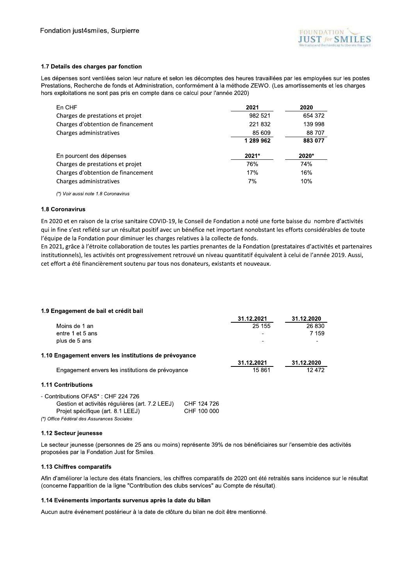

## 1.7 Details des charges par fonction

Les dépenses sont ventilées selon leur nature et selon les décomptes des heures travaillées par les employées sur les postes Prestations, Recherche de fonds et Administration, conformément à la méthode ZEWO. (Les amortissements et les charges hors exploitations ne sont pas pris en compte dans ce calcul pour l'année 2020)

| En CHF                             | 2021      | 2020    |
|------------------------------------|-----------|---------|
| Charges de prestations et projet   | 982 521   | 654 372 |
| Charges d'obtention de financement | 221832    | 139 998 |
| Charges administratives            | 85 609    | 88 707  |
|                                    | 1 289 962 | 883 077 |
| En pourcent des dépenses           | 2021*     | 2020*   |
| Charges de prestations et projet   | 76%       | 74%     |
| Charges d'obtention de financement | 17%       | 16%     |
| Charges administratives            | 7%        | 10%     |

(\*) Voir aussi note 1.8 Coronavirus

# 1.8 Coronavirus

En 2020 et en raison de la crise sanitaire COVID-19, le Conseil de Fondation a noté une forte baisse du nombre d'activités qui in fine s'est reflété sur un résultat positif avec un bénéfice net important nonobstant les efforts considérables de toute l'équipe de la Fondation pour diminuer les charges relatives à la collecte de fonds.

En 2021, grâce à l'étroite collaboration de toutes les parties prenantes de la Fondation (prestataires d'activités et partenaires institutionnels), les activités ont progressivement retrouvé un niveau quantitatif équivalent à celui de l'année 2019. Aussi, cet effort a été financièrement soutenu par tous nos donateurs, existants et nouveaux.

# 1.9 Engagement de bail et crédit bail

|                                                       | 31.12.2021 | 31.12.2020 |
|-------------------------------------------------------|------------|------------|
| Moins de 1 an                                         | 25 155     | 26 830     |
| entre 1 et 5 ans                                      |            | 7 159      |
| plus de 5 ans                                         |            |            |
| 1.10 Engagement envers les institutions de prévoyance |            |            |
|                                                       | 31.12.2021 | 31.12.2020 |
| Engagement envers les institutions de prévoyance      | 15861      | 12472      |
| <b>1.11 Contributions</b>                             |            |            |
| - Contributions OFAS*: CHF 224 726                    |            |            |

| Gestion et activités régulières (art. 7.2 LEEJ) | CHF 124 726 |
|-------------------------------------------------|-------------|
| Projet spécifique (art. 8.1 LEEJ)               | CHF 100 000 |
| (*) Office Fédéral des Assurances Sociales      |             |

### 1.12 Secteur jeunesse

Le secteur jeunesse (personnes de 25 ans ou moins) représente 39% de nos bénéficiaires sur l'ensemble des activités proposées par la Fondation Just for Smiles.

### 1.13 Chiffres comparatifs

Afin d'améliorer la lecture des états financiers, les chiffres comparatifs de 2020 ont été retraités sans incidence sur le résultat (concerne l'apparition de la ligne "Contribution des clubs services" au Compte de résultat).

# 1.14 Evénements importants survenus après la date du bilan

Aucun autre événement postérieur à la date de clôture du bilan ne doit être mentionné.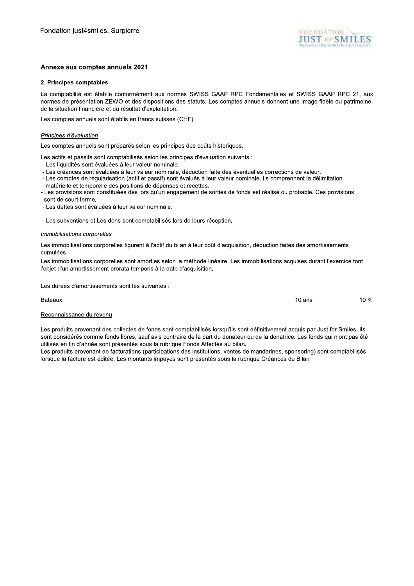

 $10$  ans

10 %

## Annexe aux comptes annuels 2021

### 2. Principes comptables

La comptabilité est établie conformément aux normes SWISS GAAP RPC Fondamentales et SWISS GAAP RPC 21, aux normes de présentation ZEWO et des dispositions des statuts. Les comptes annuels donnent une image fidèle du patrimoine, de la situation financière et du résultat d'exploitation.

Les comptes annuels sont établis en francs suisses (CHF).

#### Principes d'évaluation

Les comptes annuels sont préparés selon les principes des coûts historiques.

Les actifs et passifs sont comptabilisés selon les principes d'évaluation suivants :

- Les liquidités sont évaluées à leur valeur nominale.
- Les créances sont évaluées à leur valeur nominale, déduction faite des éventuelles corrections de valeur.
- Les comptes de régularisation (actif et passif) sont évalués à leur valeur nominale. Ils comprennent la délimitation
- matérielle et temporelle des positions de dépenses et recettes.
- Les provisions sont constituées dès lors qu'un engagement de sorties de fonds est réalisé ou probable. Ces provisions sont de court terme.
- Les dettes sont évaluées à leur valeur nominale.

- Les subventions et Les dons sont comptabilisés lors de leurs réception.

#### Immobilisations corporelles

Les immobilisations corporelles figurent à l'actif du bilan à leur coût d'acquisition, déduction faites des amortissements cumulées.

Les immobilisations corporelles sont amorties selon la méthode linéaire. Les immobilisations acquises durant l'exercice font l'objet d'un amortissement prorata temporis à la date d'acquisition.

Les durées d'amortissements sont les suivantes :

Bateaux

#### Reconnaissance du revenu

Les produits provenant des collectes de fonds sont comptabilisés lorsqu'ils sont définitivement acquis par Just for Smiles. Ils sont considérés comme fonds libres, sauf avis contraire de la part du donateur ou de la donatrice. Les fonds qui n'ont pas été utilisés en fin d'année sont présentés sous la rubrique Fonds Affectés au bilan.

Les produits provenant de facturations (participations des institutions, ventes de mandarines, sponsoring) sont comptabilisés lorsque la facture est éditée. Les montants impayés sont présentés sous la rubrique Créances du Bilan